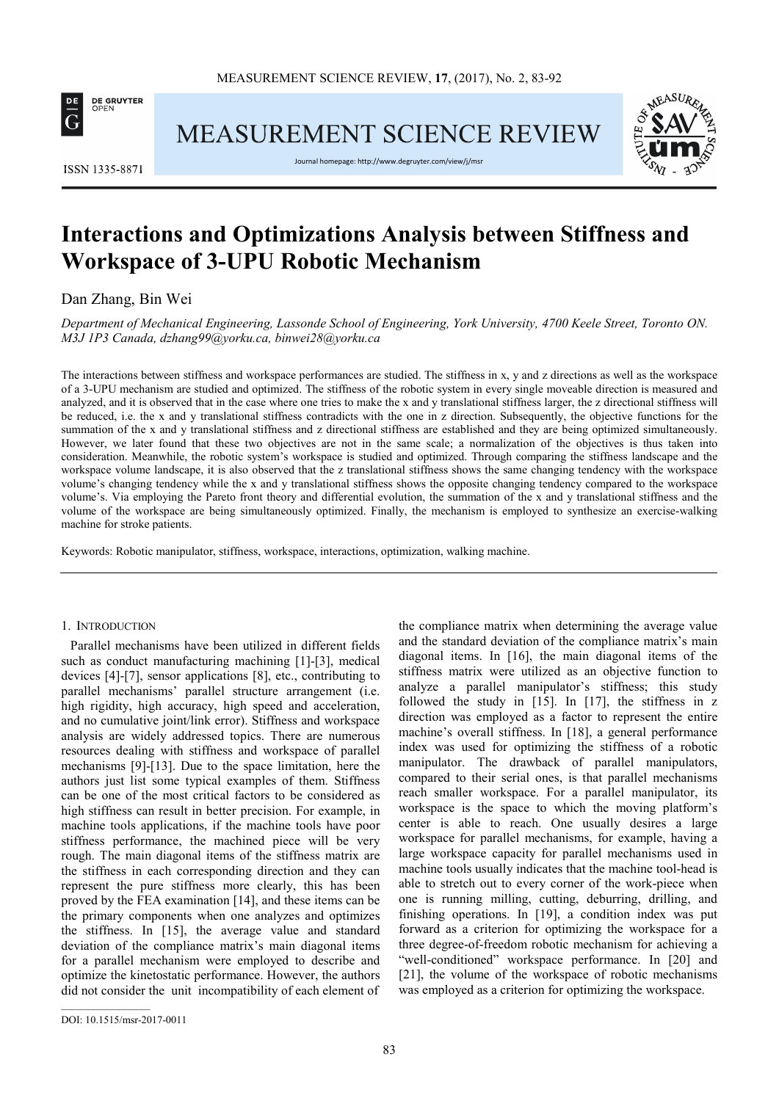

**MEASUREMENT SCIENCE REVIEW** 



**ISSN 1335-8871** 

Journal homepage: http://www.degruyter.com/view/j/msr

# **Interactions and Optimizations Analysis between Stiffness and Workspace of 3-UPU Robotic Mechanism**

Dan Zhang, Bin Wei

*Department of Mechanical Engineering, Lassonde School of Engineering, York University, 4700 Keele Street, Toronto ON. M3J 1P3 Canada, dzhang99@yorku.ca, binwei28@yorku.ca* 

The interactions between stiffness and workspace performances are studied. The stiffness in x, y and z directions as well as the workspace of a 3-UPU mechanism are studied and optimized. The stiffness of the robotic system in every single moveable direction is measured and analyzed, and it is observed that in the case where one tries to make the x and y translational stiffness larger, the z directional stiffness will be reduced, i.e. the x and y translational stiffness contradicts with the one in z direction. Subsequently, the objective functions for the summation of the x and y translational stiffness and z directional stiffness are established and they are being optimized simultaneously. However, we later found that these two objectives are not in the same scale; a normalization of the objectives is thus taken into consideration. Meanwhile, the robotic system's workspace is studied and optimized. Through comparing the stiffness landscape and the workspace volume landscape, it is also observed that the z translational stiffness shows the same changing tendency with the workspace volume's changing tendency while the x and y translational stiffness shows the opposite changing tendency compared to the workspace volume's. Via employing the Pareto front theory and differential evolution, the summation of the x and y translational stiffness and the volume of the workspace are being simultaneously optimized. Finally, the mechanism is employed to synthesize an exercise-walking machine for stroke patients.

Keywords: Robotic manipulator, stiffness, workspace, interactions, optimization, walking machine.

### 1. INTRODUCTION

Parallel mechanisms have been utilized in different fields such as conduct manufacturing machining [1]-[3], medical devices [4]-[7], sensor applications [8], etc., contributing to parallel mechanisms' parallel structure arrangement (i.e. high rigidity, high accuracy, high speed and acceleration, and no cumulative joint/link error). Stiffness and workspace analysis are widely addressed topics. There are numerous resources dealing with stiffness and workspace of parallel mechanisms [9]-[13]. Due to the space limitation, here the authors just list some typical examples of them. Stiffness can be one of the most critical factors to be considered as high stiffness can result in better precision. For example, in machine tools applications, if the machine tools have poor stiffness performance, the machined piece will be very rough. The main diagonal items of the stiffness matrix are the stiffness in each corresponding direction and they can represent the pure stiffness more clearly, this has been proved by the FEA examination [14], and these items can be the primary components when one analyzes and optimizes the stiffness. In [15], the average value and standard deviation of the compliance matrix's main diagonal items for a parallel mechanism were employed to describe and optimize the kinetostatic performance. However, the authors did not consider the unit incompatibility of each element of the compliance matrix when determining the average value and the standard deviation of the compliance matrix's main diagonal items. In [16], the main diagonal items of the stiffness matrix were utilized as an objective function to analyze a parallel manipulator's stiffness; this study followed the study in [15]. In [17], the stiffness in z direction was employed as a factor to represent the entire machine's overall stiffness. In [18], a general performance index was used for optimizing the stiffness of a robotic manipulator. The drawback of parallel manipulators, compared to their serial ones, is that parallel mechanisms reach smaller workspace. For a parallel manipulator, its workspace is the space to which the moving platform's center is able to reach. One usually desires a large workspace for parallel mechanisms, for example, having a large workspace capacity for parallel mechanisms used in machine tools usually indicates that the machine tool-head is able to stretch out to every corner of the work-piece when one is running milling, cutting, deburring, drilling, and finishing operations. In [19], a condition index was put forward as a criterion for optimizing the workspace for a three degree-of-freedom robotic mechanism for achieving a "well-conditioned" workspace performance. In [20] and [21], the volume of the workspace of robotic mechanisms was employed as a criterion for optimizing the workspace.

 $\overline{\phantom{a}}$  ,  $\overline{\phantom{a}}$  ,  $\overline{\phantom{a}}$  ,  $\overline{\phantom{a}}$  ,  $\overline{\phantom{a}}$  ,  $\overline{\phantom{a}}$  ,  $\overline{\phantom{a}}$  ,  $\overline{\phantom{a}}$  ,  $\overline{\phantom{a}}$  ,  $\overline{\phantom{a}}$  ,  $\overline{\phantom{a}}$  ,  $\overline{\phantom{a}}$  ,  $\overline{\phantom{a}}$  ,  $\overline{\phantom{a}}$  ,  $\overline{\phantom{a}}$  ,  $\overline{\phantom{a}}$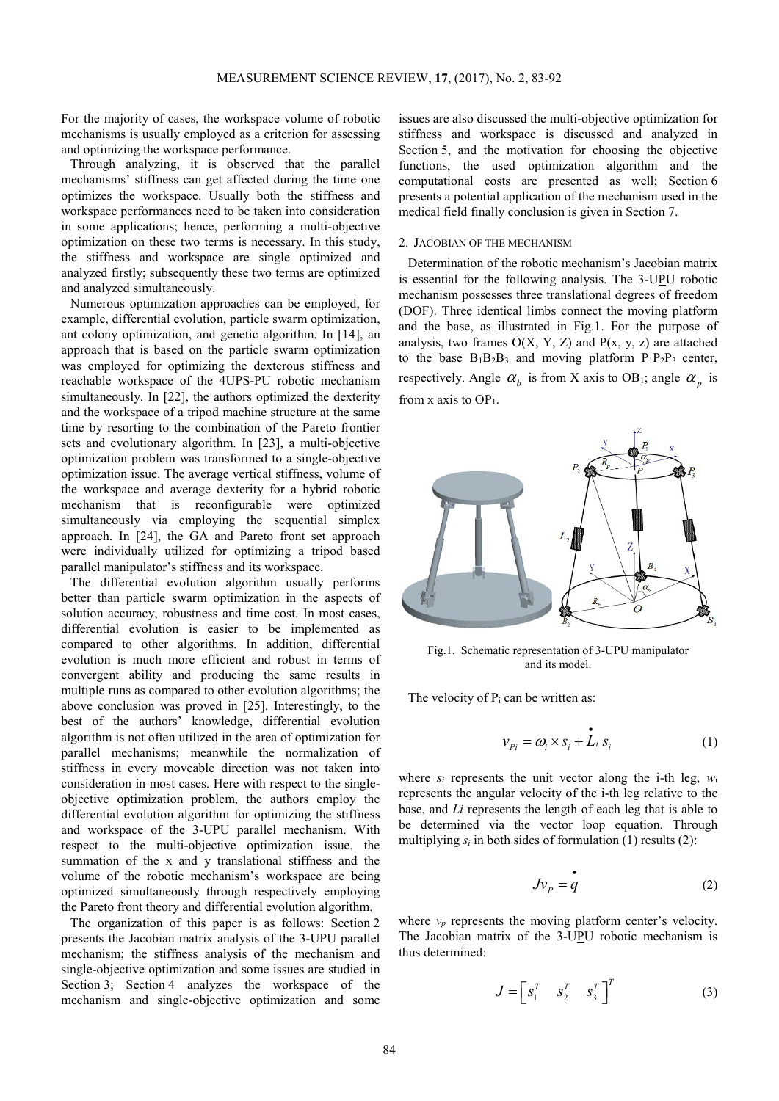For the majority of cases, the workspace volume of robotic mechanisms is usually employed as a criterion for assessing and optimizing the workspace performance.

Through analyzing, it is observed that the parallel mechanisms' stiffness can get affected during the time one optimizes the workspace. Usually both the stiffness and workspace performances need to be taken into consideration in some applications; hence, performing a multi-objective optimization on these two terms is necessary. In this study, the stiffness and workspace are single optimized and analyzed firstly; subsequently these two terms are optimized and analyzed simultaneously.

Numerous optimization approaches can be employed, for example, differential evolution, particle swarm optimization, ant colony optimization, and genetic algorithm. In [14], an approach that is based on the particle swarm optimization was employed for optimizing the dexterous stiffness and reachable workspace of the 4UPS-PU robotic mechanism simultaneously. In [22], the authors optimized the dexterity and the workspace of a tripod machine structure at the same time by resorting to the combination of the Pareto frontier sets and evolutionary algorithm. In [23], a multi-objective optimization problem was transformed to a single-objective optimization issue. The average vertical stiffness, volume of the workspace and average dexterity for a hybrid robotic mechanism that is reconfigurable were optimized simultaneously via employing the sequential simplex approach. In [24], the GA and Pareto front set approach were individually utilized for optimizing a tripod based parallel manipulator's stiffness and its workspace.

The differential evolution algorithm usually performs better than particle swarm optimization in the aspects of solution accuracy, robustness and time cost. In most cases, differential evolution is easier to be implemented as compared to other algorithms. In addition, differential evolution is much more efficient and robust in terms of convergent ability and producing the same results in multiple runs as compared to other evolution algorithms; the above conclusion was proved in [25]. Interestingly, to the best of the authors' knowledge, differential evolution algorithm is not often utilized in the area of optimization for parallel mechanisms; meanwhile the normalization of stiffness in every moveable direction was not taken into consideration in most cases. Here with respect to the singleobjective optimization problem, the authors employ the differential evolution algorithm for optimizing the stiffness and workspace of the 3-UPU parallel mechanism. With respect to the multi-objective optimization issue, the summation of the x and y translational stiffness and the volume of the robotic mechanism's workspace are being optimized simultaneously through respectively employing the Pareto front theory and differential evolution algorithm.

The organization of this paper is as follows: Section 2 presents the Jacobian matrix analysis of the 3-UPU parallel mechanism; the stiffness analysis of the mechanism and single-objective optimization and some issues are studied in Section 3; Section 4 analyzes the workspace of the mechanism and single-objective optimization and some issues are also discussed the multi-objective optimization for stiffness and workspace is discussed and analyzed in Section 5, and the motivation for choosing the objective functions, the used optimization algorithm and the computational costs are presented as well; Section 6 presents a potential application of the mechanism used in the medical field finally conclusion is given in Section 7.

#### 2. JACOBIAN OF THE MECHANISM

Determination of the robotic mechanism's Jacobian matrix is essential for the following analysis. The 3-UPU robotic mechanism possesses three translational degrees of freedom (DOF). Three identical limbs connect the moving platform and the base, as illustrated in Fig.1. For the purpose of analysis, two frames  $O(X, Y, Z)$  and  $P(x, y, z)$  are attached to the base  $B_1B_2B_3$  and moving platform  $P_1P_2P_3$  center, respectively. Angle  $\alpha_b$  is from X axis to OB<sub>1</sub>; angle  $\alpha_p$  is from x axis to  $OP_1$ .



Fig.1. Schematic representation of 3-UPU manipulator and its model.

The velocity of  $P_i$  can be written as:

$$
v_{pi} = \omega_i \times s_i + \dot{L}_i s_i \tag{1}
$$

where  $s_i$  represents the unit vector along the i-th leg,  $w_i$ represents the angular velocity of the i-th leg relative to the base, and *Li* represents the length of each leg that is able to be determined via the vector loop equation. Through multiplying  $s_i$  in both sides of formulation (1) results (2):

$$
Jv_p = \dot{q} \tag{2}
$$

where  $v_p$  represents the moving platform center's velocity. The Jacobian matrix of the 3-UPU robotic mechanism is thus determined:

$$
J = \begin{bmatrix} s_1^T & s_2^T & s_3^T \end{bmatrix}^T
$$
 (3)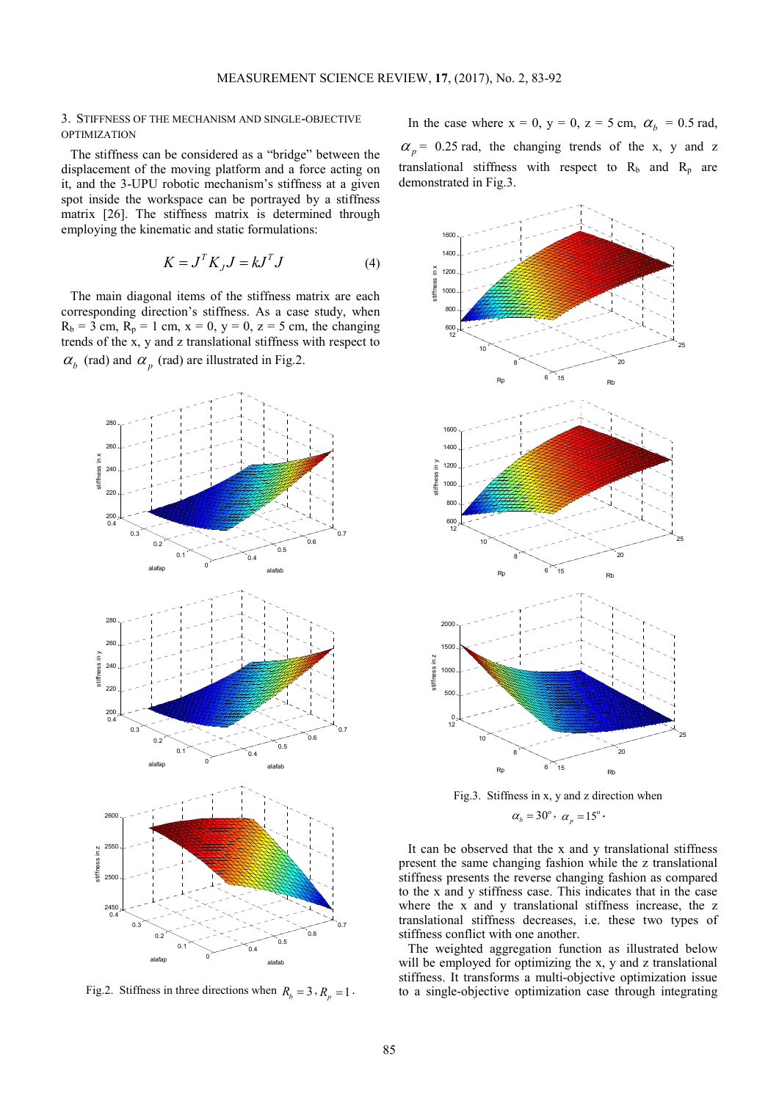#### 3. STIFFNESS OF THE MECHANISM AND SINGLE-OBJECTIVE **OPTIMIZATION**

The stiffness can be considered as a "bridge" between the displacement of the moving platform and a force acting on it, and the 3-UPU robotic mechanism's stiffness at a given spot inside the workspace can be portrayed by a stiffness matrix [26]. The stiffness matrix is determined through employing the kinematic and static formulations:

$$
K = J^T K_J J = k J^T J \tag{4}
$$

The main diagonal items of the stiffness matrix are each corresponding direction's stiffness. As a case study, when  $R_b = 3$  cm,  $R_p = 1$  cm,  $x = 0$ ,  $y = 0$ ,  $z = 5$  cm, the changing trends of the x, y and z translational stiffness with respect to  $\alpha_b$  (rad) and  $\alpha_p$  (rad) are illustrated in Fig.2.



Fig.2. Stiffness in three directions when  $R_b = 3$ ,  $R_p = 1$ .

In the case where  $x = 0$ ,  $y = 0$ ,  $z = 5$  cm,  $\alpha_b = 0.5$  rad,  $\alpha_p$  = 0.25 rad, the changing trends of the x, y and z translational stiffness with respect to  $R_b$  and  $R_p$  are demonstrated in Fig.3.



Fig.3. Stiffness in x, y and z direction when  $\alpha_b = 30^\circ, \ \alpha_p = 15^\circ.$ 

It can be observed that the x and y translational stiffness present the same changing fashion while the z translational stiffness presents the reverse changing fashion as compared to the x and y stiffness case. This indicates that in the case where the x and y translational stiffness increase, the z translational stiffness decreases, i.e. these two types of stiffness conflict with one another.

The weighted aggregation function as illustrated below will be employed for optimizing the x, y and z translational stiffness. It transforms a multi-objective optimization issue to a single-objective optimization case through integrating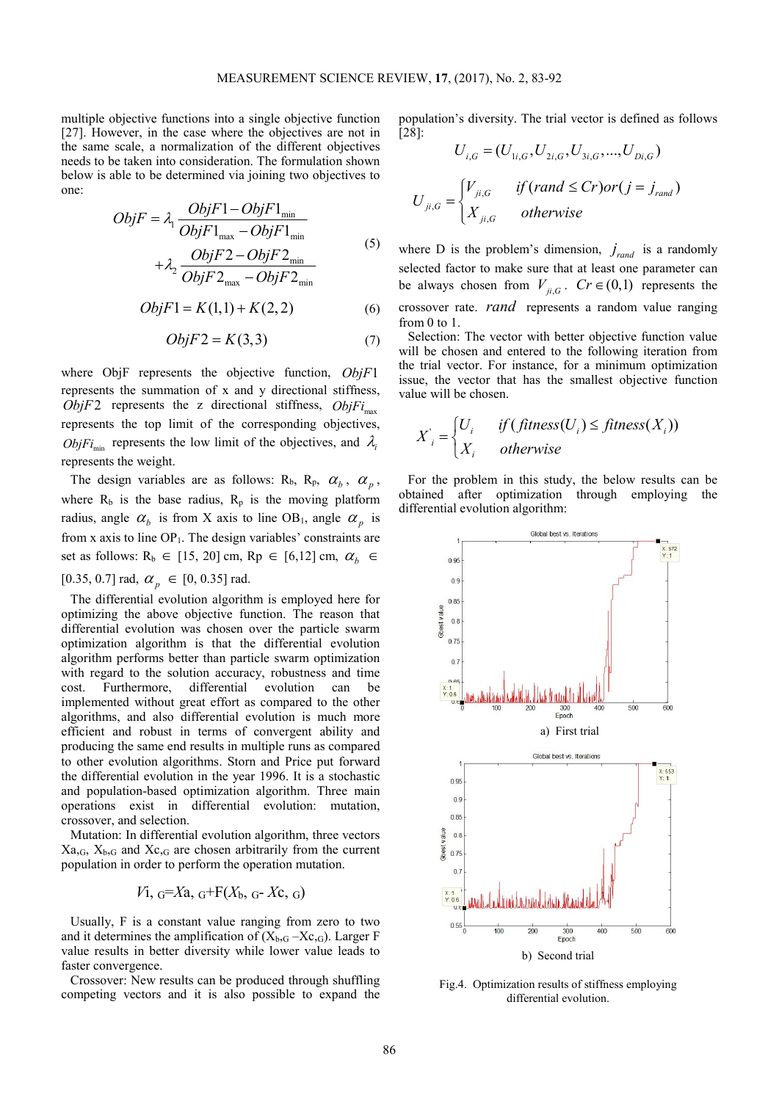multiple objective functions into a single objective function [27]. However, in the case where the objectives are not in the same scale, a normalization of the different objectives needs to be taken into consideration. The formulation shown below is able to be determined via joining two objectives to one:

$$
ObjF = \lambda_1 \frac{ObjF1 - ObjF1_{\min}}{ObjF1_{\max} - ObjF1_{\min}} + \lambda_2 \frac{ObjF2 - ObjF2_{\min}}{ObjF2_{\max} -ObjF2_{\min}} \tag{5}
$$

$$
ObjF1 = K(1,1) + K(2,2)
$$
 (6)

$$
ObjF2 = K(3,3)
$$
 (7)

where ObjF represents the objective function, *ObjF*1 represents the summation of x and y directional stiffness,  $ObjF2$  represents the z directional stiffness,  $ObjFi<sub>max</sub>$ represents the top limit of the corresponding objectives, *ObjFi*<sub>min</sub> represents the low limit of the objectives, and  $\lambda_i$ represents the weight.

The design variables are as follows:  $R_b$ ,  $R_p$ ,  $\alpha_b$ ,  $\alpha_p$ , where  $R_b$  is the base radius,  $R_p$  is the moving platform radius, angle  $\alpha_b$  is from X axis to line OB<sub>1</sub>, angle  $\alpha_p$  is from  $x$  axis to line OP<sub>1</sub>. The design variables' constraints are set as follows:  $R_b \in [15, 20]$  cm,  $R_p \in [6, 12]$  cm,  $\alpha_b \in$ [0.35, 0.7] rad,  $\alpha_p \in [0, 0.35]$  rad.

The differential evolution algorithm is employed here for optimizing the above objective function. The reason that differential evolution was chosen over the particle swarm optimization algorithm is that the differential evolution algorithm performs better than particle swarm optimization with regard to the solution accuracy, robustness and time cost. Furthermore, differential evolution can be implemented without great effort as compared to the other algorithms, and also differential evolution is much more efficient and robust in terms of convergent ability and producing the same end results in multiple runs as compared to other evolution algorithms. Storn and Price put forward the differential evolution in the year 1996. It is a stochastic and population-based optimization algorithm. Three main operations exist in differential evolution: mutation, crossover, and selection.

Mutation: In differential evolution algorithm, three vectors  $Xa_{,G}$ ,  $X_{b,G}$  and  $Xc_{,G}$  are chosen arbitrarily from the current population in order to perform the operation mutation.

$$
V_{1, G} = Xa, G + F(X_b, G - Xc, G)
$$

Usually, F is a constant value ranging from zero to two and it determines the amplification of  $(X_{b,G} - X_{c,G})$ . Larger F value results in better diversity while lower value leads to faster convergence.

Crossover: New results can be produced through shuffling competing vectors and it is also possible to expand the population's diversity. The trial vector is defined as follows [28]:

$$
U_{i,G} = (U_{1i,G}, U_{2i,G}, U_{3i,G}, ..., U_{Di,G})
$$
  

$$
U_{ji,G} = \begin{cases} V_{ji,G} & if (rand \le Cr) or (j = j_{rand}) \\ X_{ji,G} & otherwise \end{cases}
$$

where D is the problem's dimension,  $j_{rand}$  is a randomly selected factor to make sure that at least one parameter can be always chosen from  $V_{ji,G}$ .  $Cr \in (0,1)$  represents the crossover rate. *rand* represents a random value ranging from 0 to 1.

Selection: The vector with better objective function value will be chosen and entered to the following iteration from the trial vector. For instance, for a minimum optimization issue, the vector that has the smallest objective function value will be chosen.

$$
X'_{i} = \begin{cases} U_{i} & \text{if } (fitness(U_{i}) \leq fitness(X_{i})) \\ X_{i} & \text{otherwise} \end{cases}
$$

For the problem in this study, the below results can be obtained after optimization through employing the differential evolution algorithm:



Fig.4. Optimization results of stiffness employing differential evolution.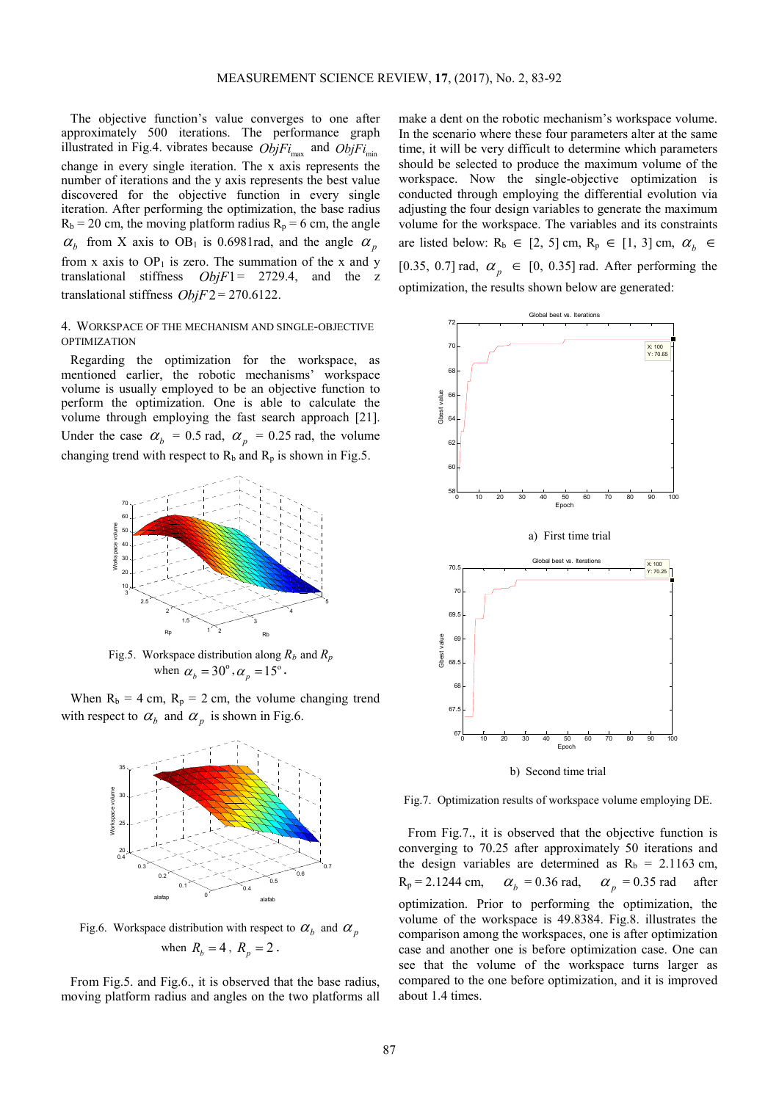The objective function's value converges to one after approximately 500 iterations. The performance graph illustrated in Fig.4. vibrates because  $ObjFi_{\text{max}}$  and  $ObjFi_{\text{min}}$ change in every single iteration. The x axis represents the number of iterations and the y axis represents the best value discovered for the objective function in every single iteration. After performing the optimization, the base radius  $R_b = 20$  cm, the moving platform radius  $R_p = 6$  cm, the angle  $\alpha_b$  from X axis to OB<sub>1</sub> is 0.6981rad, and the angle  $\alpha_p$ from x axis to  $OP_1$  is zero. The summation of the x and y translational stiffness *ObjF*1= 2729.4, and the z translational stiffness *ObjF*2 = 270.6122.

## 4. WORKSPACE OF THE MECHANISM AND SINGLE-OBJECTIVE OPTIMIZATION

Regarding the optimization for the workspace, as mentioned earlier, the robotic mechanisms' workspace volume is usually employed to be an objective function to perform the optimization. One is able to calculate the volume through employing the fast search approach [21]. Under the case  $\alpha_b = 0.5$  rad,  $\alpha_p = 0.25$  rad, the volume changing trend with respect to  $R_b$  and  $R_p$  is shown in Fig.5.



Fig.5. Workspace distribution along  $R_b$  and  $R_p$ when  $\alpha_b = 30^\circ$ ,  $\alpha_p = 15^\circ$ .

When  $R_b = 4$  cm,  $R_p = 2$  cm, the volume changing trend with respect to  $\alpha_b$  and  $\alpha_p$  is shown in Fig.6.



Fig.6. Workspace distribution with respect to  $\alpha_b$  and  $\alpha_p$ when  $R_b = 4$ ,  $R_p = 2$ .

From Fig.5. and Fig.6., it is observed that the base radius, moving platform radius and angles on the two platforms all make a dent on the robotic mechanism's workspace volume. In the scenario where these four parameters alter at the same time, it will be very difficult to determine which parameters should be selected to produce the maximum volume of the workspace. Now the single-objective optimization is conducted through employing the differential evolution via adjusting the four design variables to generate the maximum volume for the workspace. The variables and its constraints are listed below:  $R_b \in [2, 5]$  cm,  $R_p \in [1, 3]$  cm,  $\alpha_b \in$ [0.35, 0.7] rad,  $\alpha_p \in [0, 0.35]$  rad. After performing the optimization, the results shown below are generated:



Fig.7. Optimization results of workspace volume employing DE.

From Fig.7., it is observed that the objective function is converging to 70.25 after approximately 50 iterations and the design variables are determined as  $R_b = 2.1163$  cm,  $R_p = 2.1244$  cm,  $= 0.36$  rad,  $\alpha_p = 0.35$  rad after optimization. Prior to performing the optimization, the volume of the workspace is 49.8384. Fig.8. illustrates the comparison among the workspaces, one is after optimization case and another one is before optimization case. One can see that the volume of the workspace turns larger as compared to the one before optimization, and it is improved about 1.4 times.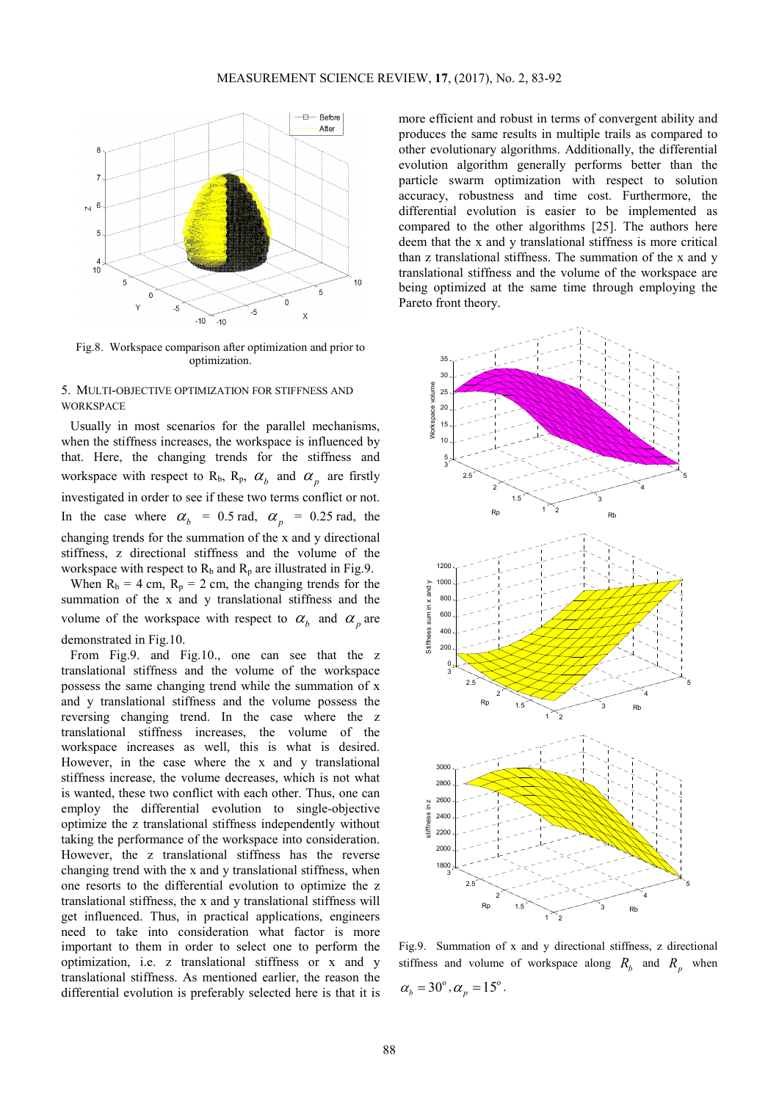

Fig.8. Workspace comparison after optimization and prior to optimization.

## 5. MULTI-OBJECTIVE OPTIMIZATION FOR STIFFNESS AND **WORKSPACE**

Usually in most scenarios for the parallel mechanisms, when the stiffness increases, the workspace is influenced by that. Here, the changing trends for the stiffness and workspace with respect to R<sub>b</sub>, R<sub>p</sub>,  $\alpha_b$  and  $\alpha_p$  are firstly investigated in order to see if these two terms conflict or not. In the case where  $\alpha_b = 0.5$  rad,  $\alpha_p = 0.25$  rad, the changing trends for the summation of the x and y directional stiffness, z directional stiffness and the volume of the workspace with respect to  $R_b$  and  $R_p$  are illustrated in Fig.9.

When  $R_b = 4$  cm,  $R_p = 2$  cm, the changing trends for the summation of the x and y translational stiffness and the volume of the workspace with respect to  $\alpha_b$  and  $\alpha_p$  are demonstrated in Fig.10.

From Fig.9. and Fig.10., one can see that the z translational stiffness and the volume of the workspace possess the same changing trend while the summation of x and y translational stiffness and the volume possess the reversing changing trend. In the case where the z translational stiffness increases, the volume of the workspace increases as well, this is what is desired. However, in the case where the x and y translational stiffness increase, the volume decreases, which is not what is wanted, these two conflict with each other. Thus, one can employ the differential evolution to single-objective optimize the z translational stiffness independently without taking the performance of the workspace into consideration. However, the z translational stiffness has the reverse changing trend with the x and y translational stiffness, when one resorts to the differential evolution to optimize the z translational stiffness, the x and y translational stiffness will get influenced. Thus, in practical applications, engineers need to take into consideration what factor is more important to them in order to select one to perform the optimization, i.e. z translational stiffness or x and y translational stiffness. As mentioned earlier, the reason the differential evolution is preferably selected here is that it is more efficient and robust in terms of convergent ability and produces the same results in multiple trails as compared to other evolutionary algorithms. Additionally, the differential evolution algorithm generally performs better than the particle swarm optimization with respect to solution accuracy, robustness and time cost. Furthermore, the differential evolution is easier to be implemented as compared to the other algorithms [25]. The authors here deem that the x and y translational stiffness is more critical than z translational stiffness. The summation of the x and y translational stiffness and the volume of the workspace are being optimized at the same time through employing the Pareto front theory.



Fig.9. Summation of x and y directional stiffness, z directional stiffness and volume of workspace along  $R_b$  and  $R_p$  when  $\alpha_b = 30^\circ$ ,  $\alpha_p = 15^\circ$ .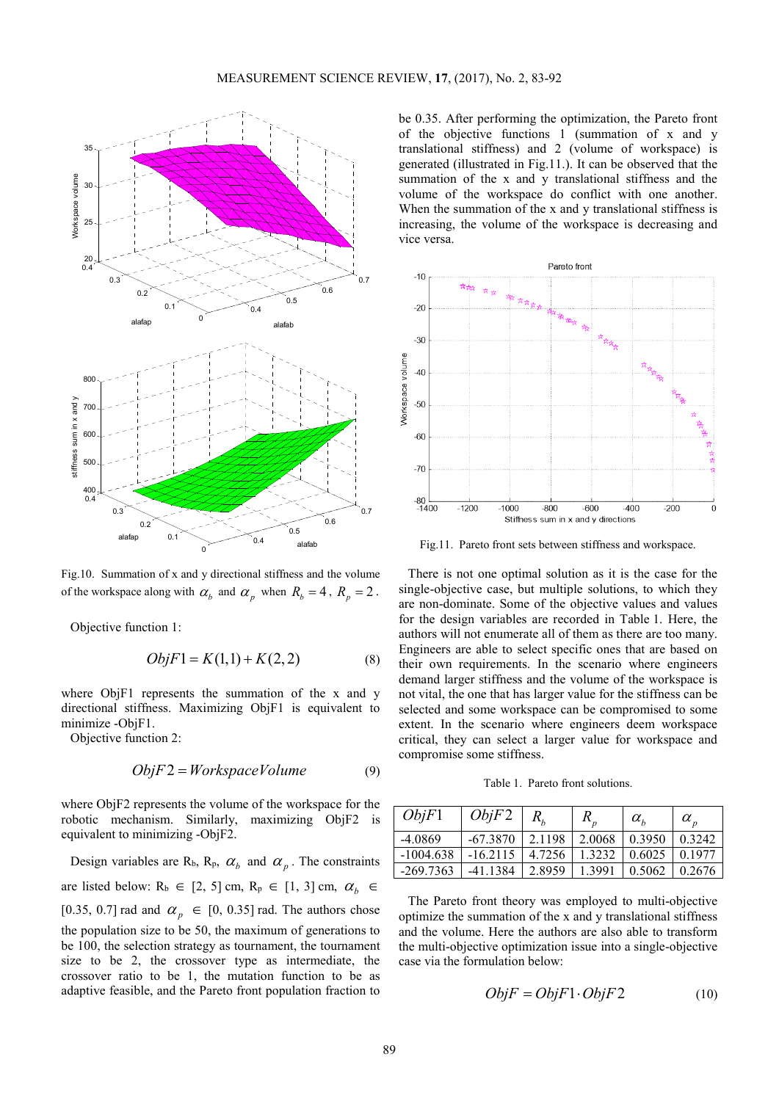

Fig.10. Summation of x and y directional stiffness and the volume of the workspace along with  $\alpha_b$  and  $\alpha_p$  when  $R_b = 4$ ,  $R_p = 2$ .

Objective function 1:

$$
ObjF1 = K(1,1) + K(2,2)
$$
 (8)

where ObjF1 represents the summation of the x and y directional stiffness. Maximizing ObjF1 is equivalent to minimize -ObjF1.

Objective function 2:

$$
ObjF2 = Workshop
$$
 (9)

where ObjF2 represents the volume of the workspace for the robotic mechanism. Similarly, maximizing ObjF2 is equivalent to minimizing -ObjF2.

Design variables are R<sub>b</sub>, R<sub>p</sub>,  $\alpha_b$  and  $\alpha_p$ . The constraints are listed below:  $R_b \in [2, 5]$  cm,  $R_p \in [1, 3]$  cm,  $\alpha_b \in$ [0.35, 0.7] rad and  $\alpha_p \in [0, 0.35]$  rad. The authors chose the population size to be 50, the maximum of generations to be 100, the selection strategy as tournament, the tournament size to be 2, the crossover type as intermediate, the crossover ratio to be 1, the mutation function to be as adaptive feasible, and the Pareto front population fraction to

be 0.35. After performing the optimization, the Pareto front of the objective functions 1 (summation of x and y translational stiffness) and 2 (volume of workspace) is generated (illustrated in Fig.11.). It can be observed that the summation of the x and y translational stiffness and the volume of the workspace do conflict with one another. When the summation of the x and y translational stiffness is increasing, the volume of the workspace is decreasing and vice versa.



Fig.11. Pareto front sets between stiffness and workspace.

There is not one optimal solution as it is the case for the single-objective case, but multiple solutions, to which they are non-dominate. Some of the objective values and values for the design variables are recorded in Table 1. Here, the authors will not enumerate all of them as there are too many. Engineers are able to select specific ones that are based on their own requirements. In the scenario where engineers demand larger stiffness and the volume of the workspace is not vital, the one that has larger value for the stiffness can be selected and some workspace can be compromised to some extent. In the scenario where engineers deem workspace critical, they can select a larger value for workspace and compromise some stiffness.

Table 1. Pareto front solutions.

| ObjF1       | ObjF2      |        | $R_{n}$ | $\alpha_{\scriptscriptstyle h}$ | $\alpha_{n}$ |
|-------------|------------|--------|---------|---------------------------------|--------------|
| -4.0869     | $-67.3870$ | 2.1198 | 2.0068  | 0.3950                          | 0.3242       |
| $-1004.638$ | $-16.2115$ | 4.7256 | 1.3232  | 0.6025                          | 0 1 9 7 7    |
| $-269.7363$ | $-411384$  | 2.8959 | 1.3991  | 0.5062                          | 0.2676       |

The Pareto front theory was employed to multi-objective optimize the summation of the x and y translational stiffness and the volume. Here the authors are also able to transform the multi-objective optimization issue into a single-objective case via the formulation below:

$$
ObjF = ObjF1 \cdot ObjF2 \tag{10}
$$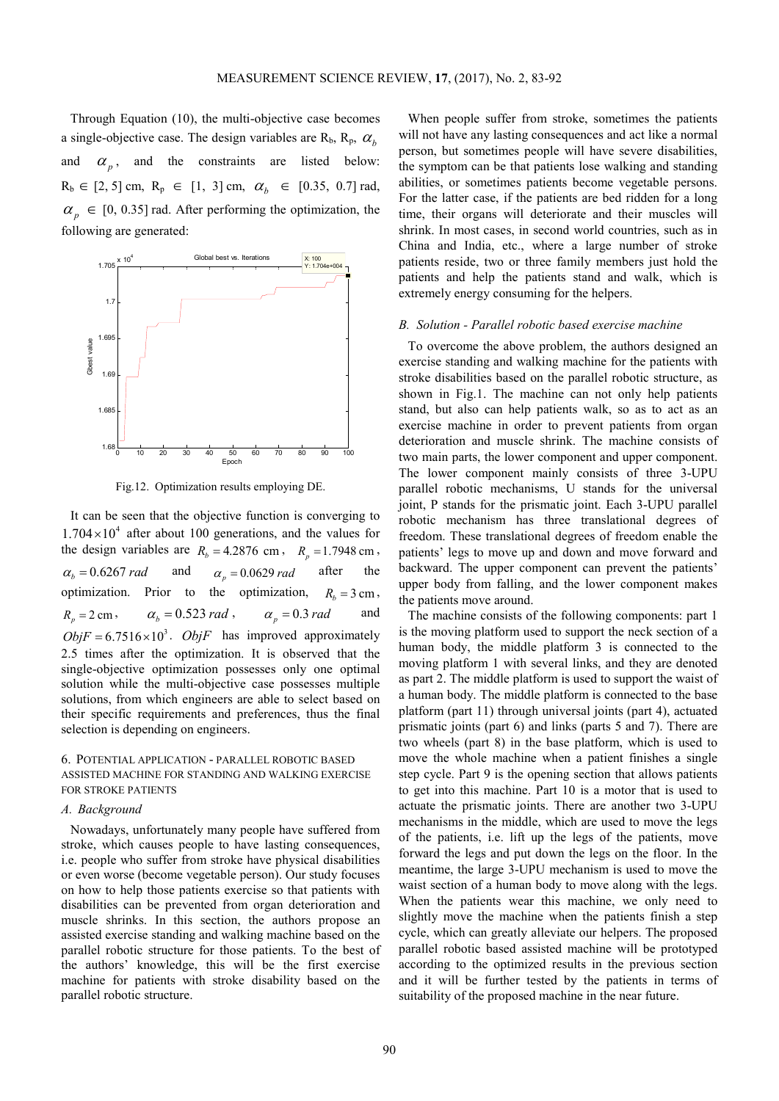Through Equation (10), the multi-objective case becomes a single-objective case. The design variables are  $R_b$ ,  $R_p$ ,  $\alpha_b$ and  $\alpha_p$ , and the constraints are listed below:  $R_b \in [2, 5]$  cm,  $R_p \in [1, 3]$  cm,  $\alpha_b \in [0.35, 0.7]$  rad,  $\alpha_p \in [0, 0.35]$  rad. After performing the optimization, the following are generated:



Fig.12. Optimization results employing DE.

It can be seen that the objective function is converging to  $1.704 \times 10^4$  after about 100 generations, and the values for the design variables are  $R_b = 4.2876$  cm,  $R_p = 1.7948$  cm,  $\alpha_b = 0.6267$  *rad* and  $\alpha_p = 0.0629$  *rad* after the optimization. Prior to the optimization,  $R_b = 3 \text{ cm}$ ,  $R_p = 2 \text{ cm}, \qquad \alpha_b = 0.523 \text{ rad}, \qquad \alpha_p = 0.3 \text{ rad}$  and  $ObjF = 6.7516 \times 10^3$ . *ObjF* has improved approximately 2.5 times after the optimization. It is observed that the single-objective optimization possesses only one optimal solution while the multi-objective case possesses multiple solutions, from which engineers are able to select based on their specific requirements and preferences, thus the final selection is depending on engineers.

## 6. POTENTIAL APPLICATION - PARALLEL ROBOTIC BASED ASSISTED MACHINE FOR STANDING AND WALKING EXERCISE FOR STROKE PATIENTS

#### *A. Background*

Nowadays, unfortunately many people have suffered from stroke, which causes people to have lasting consequences, i.e. people who suffer from stroke have physical disabilities or even worse (become vegetable person). Our study focuses on how to help those patients exercise so that patients with disabilities can be prevented from organ deterioration and muscle shrinks. In this section, the authors propose an assisted exercise standing and walking machine based on the parallel robotic structure for those patients. To the best of the authors' knowledge, this will be the first exercise machine for patients with stroke disability based on the parallel robotic structure.

When people suffer from stroke, sometimes the patients will not have any lasting consequences and act like a normal person, but sometimes people will have severe disabilities, the symptom can be that patients lose walking and standing abilities, or sometimes patients become vegetable persons. For the latter case, if the patients are bed ridden for a long time, their organs will deteriorate and their muscles will shrink. In most cases, in second world countries, such as in China and India, etc., where a large number of stroke patients reside, two or three family members just hold the patients and help the patients stand and walk, which is extremely energy consuming for the helpers.

#### *B. Solution - Parallel robotic based exercise machine*

To overcome the above problem, the authors designed an exercise standing and walking machine for the patients with stroke disabilities based on the parallel robotic structure, as shown in Fig.1. The machine can not only help patients stand, but also can help patients walk, so as to act as an exercise machine in order to prevent patients from organ deterioration and muscle shrink. The machine consists of two main parts, the lower component and upper component. The lower component mainly consists of three 3-UPU parallel robotic mechanisms, U stands for the universal joint, P stands for the prismatic joint. Each 3-UPU parallel robotic mechanism has three translational degrees of freedom. These translational degrees of freedom enable the patients' legs to move up and down and move forward and backward. The upper component can prevent the patients' upper body from falling, and the lower component makes the patients move around.

The machine consists of the following components: part 1 is the moving platform used to support the neck section of a human body, the middle platform 3 is connected to the moving platform 1 with several links, and they are denoted as part 2. The middle platform is used to support the waist of a human body. The middle platform is connected to the base platform (part 11) through universal joints (part 4), actuated prismatic joints (part 6) and links (parts 5 and 7). There are two wheels (part 8) in the base platform, which is used to move the whole machine when a patient finishes a single step cycle. Part 9 is the opening section that allows patients to get into this machine. Part 10 is a motor that is used to actuate the prismatic joints. There are another two 3-UPU mechanisms in the middle, which are used to move the legs of the patients, i.e. lift up the legs of the patients, move forward the legs and put down the legs on the floor. In the meantime, the large 3-UPU mechanism is used to move the waist section of a human body to move along with the legs. When the patients wear this machine, we only need to slightly move the machine when the patients finish a step cycle, which can greatly alleviate our helpers. The proposed parallel robotic based assisted machine will be prototyped according to the optimized results in the previous section and it will be further tested by the patients in terms of suitability of the proposed machine in the near future.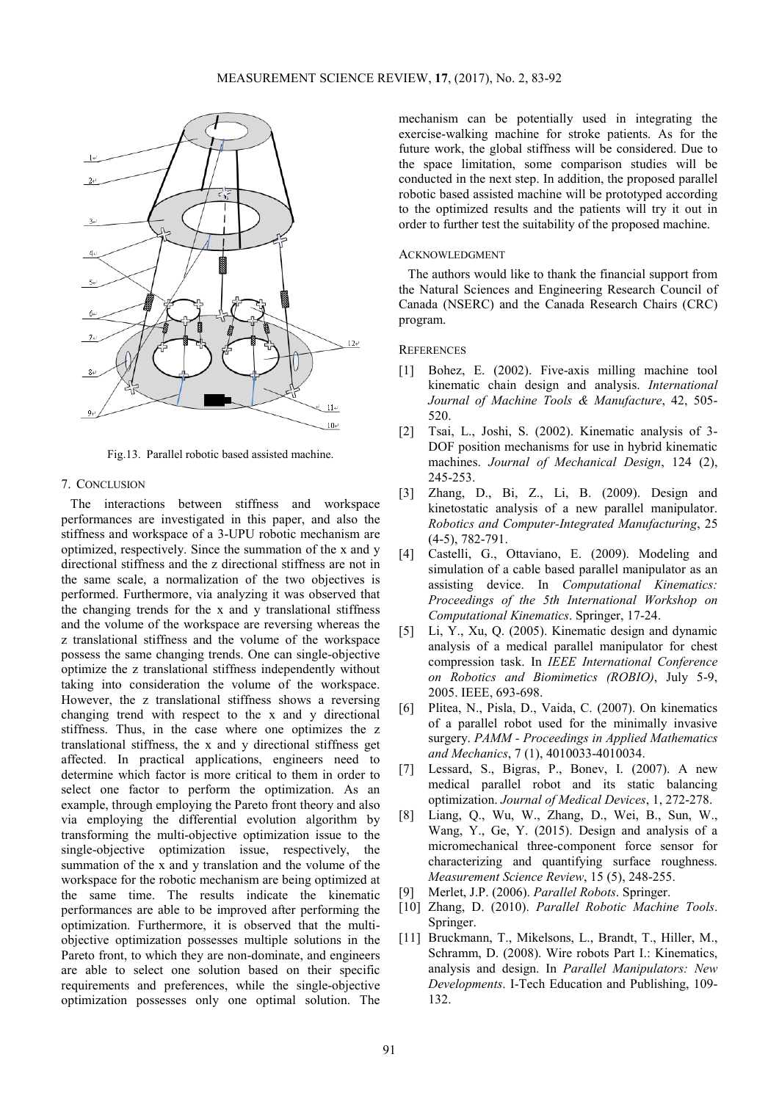

Fig.13. Parallel robotic based assisted machine.

#### 7. CONCLUSION

The interactions between stiffness and workspace performances are investigated in this paper, and also the stiffness and workspace of a 3-UPU robotic mechanism are optimized, respectively. Since the summation of the x and y directional stiffness and the z directional stiffness are not in the same scale, a normalization of the two objectives is performed. Furthermore, via analyzing it was observed that the changing trends for the x and y translational stiffness and the volume of the workspace are reversing whereas the z translational stiffness and the volume of the workspace possess the same changing trends. One can single-objective optimize the z translational stiffness independently without taking into consideration the volume of the workspace. However, the z translational stiffness shows a reversing changing trend with respect to the x and y directional stiffness. Thus, in the case where one optimizes the z translational stiffness, the x and y directional stiffness get affected. In practical applications, engineers need to determine which factor is more critical to them in order to select one factor to perform the optimization. As an example, through employing the Pareto front theory and also via employing the differential evolution algorithm by transforming the multi-objective optimization issue to the single-objective optimization issue, respectively, the summation of the x and y translation and the volume of the workspace for the robotic mechanism are being optimized at the same time. The results indicate the kinematic performances are able to be improved after performing the optimization. Furthermore, it is observed that the multiobjective optimization possesses multiple solutions in the Pareto front, to which they are non-dominate, and engineers are able to select one solution based on their specific requirements and preferences, while the single-objective optimization possesses only one optimal solution. The

mechanism can be potentially used in integrating the exercise-walking machine for stroke patients. As for the future work, the global stiffness will be considered. Due to the space limitation, some comparison studies will be conducted in the next step. In addition, the proposed parallel robotic based assisted machine will be prototyped according to the optimized results and the patients will try it out in order to further test the suitability of the proposed machine.

## ACKNOWLEDGMENT

The authors would like to thank the financial support from the Natural Sciences and Engineering Research Council of Canada (NSERC) and the Canada Research Chairs (CRC) program.

## **REFERENCES**

- [1] Bohez, E. (2002). Five-axis milling machine tool kinematic chain design and analysis. *International Journal of Machine Tools & Manufacture*, 42, 505- 520.
- [2] Tsai, L., Joshi, S. (2002). Kinematic analysis of 3- DOF position mechanisms for use in hybrid kinematic machines. *Journal of Mechanical Design*, 124 (2), 245-253.
- [3] Zhang, D., Bi, Z., Li, B. (2009). Design and kinetostatic analysis of a new parallel manipulator. *Robotics and Computer-Integrated Manufacturing*, 25 (4-5), 782-791.
- [4] Castelli, G., Ottaviano, E. (2009). Modeling and simulation of a cable based parallel manipulator as an assisting device. In *Computational Kinematics: Proceedings of the 5th International Workshop on Computational Kinematics*. Springer, 17-24.
- [5] Li, Y., Xu, Q. (2005). Kinematic design and dynamic analysis of a medical parallel manipulator for chest compression task. In *IEEE International Conference on Robotics and Biomimetics (ROBIO)*, July 5-9, 2005. IEEE, 693-698.
- [6] Plitea, N., Pisla, D., Vaida, C. (2007). On kinematics of a parallel robot used for the minimally invasive surgery. *PAMM - Proceedings in Applied Mathematics and Mechanics*, 7 (1), 4010033-4010034.
- [7] Lessard, S., Bigras, P., Bonev, I. (2007). A new medical parallel robot and its static balancing optimization. *Journal of Medical Devices*, 1, 272-278.
- [8] Liang, Q., Wu, W., Zhang, D., Wei, B., Sun, W., Wang, Y., Ge, Y. (2015). Design and analysis of a micromechanical three-component force sensor for characterizing and quantifying surface roughness. *Measurement Science Review*, 15 (5), 248-255.
- [9] Merlet, J.P. (2006). *Parallel Robots*. Springer.
- [10] Zhang, D. (2010). *Parallel Robotic Machine Tools*. Springer.
- [11] Bruckmann, T., Mikelsons, L., Brandt, T., Hiller, M., Schramm, D. (2008). Wire robots Part I.: Kinematics, analysis and design. In *Parallel Manipulators: New Developments*. I-Tech Education and Publishing, 109- 132.